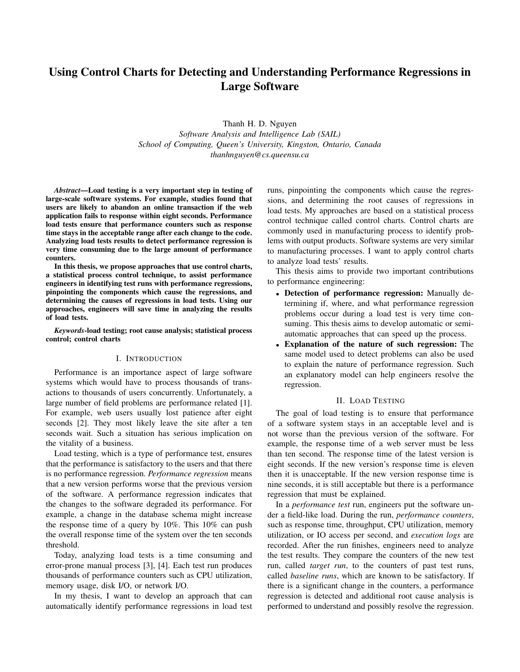# Using Control Charts for Detecting and Understanding Performance Regressions in Large Software

Thanh H. D. Nguyen *Software Analysis and Intelligence Lab (SAIL) School of Computing, Queen's University, Kingston, Ontario, Canada thanhnguyen@cs.queensu.ca*

*Abstract*—Load testing is a very important step in testing of large-scale software systems. For example, studies found that users are likely to abandon an online transaction if the web application fails to response within eight seconds. Performance load tests ensure that performance counters such as response time stays in the acceptable range after each change to the code. Analyzing load tests results to detect performance regression is very time consuming due to the large amount of performance counters.

In this thesis, we propose approaches that use control charts, a statistical process control technique, to assist performance engineers in identifying test runs with performance regressions, pinpointing the components which cause the regressions, and determining the causes of regressions in load tests. Using our approaches, engineers will save time in analyzing the results of load tests.

*Keywords*-load testing; root cause analysis; statistical process control; control charts

# I. INTRODUCTION

Performance is an importance aspect of large software systems which would have to process thousands of transactions to thousands of users concurrently. Unfortunately, a large number of field problems are performance related [1]. For example, web users usually lost patience after eight seconds [2]. They most likely leave the site after a ten seconds wait. Such a situation has serious implication on the vitality of a business.

Load testing, which is a type of performance test, ensures that the performance is satisfactory to the users and that there is no performance regression. *Performance regression* means that a new version performs worse that the previous version of the software. A performance regression indicates that the changes to the software degraded its performance. For example, a change in the database schema might increase the response time of a query by 10%. This 10% can push the overall response time of the system over the ten seconds threshold.

Today, analyzing load tests is a time consuming and error-prone manual process [3], [4]. Each test run produces thousands of performance counters such as CPU utilization, memory usage, disk I/O, or network I/O.

In my thesis, I want to develop an approach that can automatically identify performance regressions in load test runs, pinpointing the components which cause the regressions, and determining the root causes of regressions in load tests. My approaches are based on a statistical process control technique called control charts. Control charts are commonly used in manufacturing process to identify problems with output products. Software systems are very similar to manufacturing processes. I want to apply control charts to analyze load tests' results.

This thesis aims to provide two important contributions to performance engineering:

- Detection of performance regression: Manually determining if, where, and what performance regression problems occur during a load test is very time consuming. This thesis aims to develop automatic or semiautomatic approaches that can speed up the process.
- Explanation of the nature of such regression: The same model used to detect problems can also be used to explain the nature of performance regression. Such an explanatory model can help engineers resolve the regression.

### II. LOAD TESTING

The goal of load testing is to ensure that performance of a software system stays in an acceptable level and is not worse than the previous version of the software. For example, the response time of a web server must be less than ten second. The response time of the latest version is eight seconds. If the new version's response time is eleven then it is unacceptable. If the new version response time is nine seconds, it is still acceptable but there is a performance regression that must be explained.

In a *performance test* run, engineers put the software under a field-like load. During the run, *performance counters*, such as response time, throughput, CPU utilization, memory utilization, or IO access per second, and *execution logs* are recorded. After the run finishes, engineers need to analyze the test results. They compare the counters of the new test run, called *target run*, to the counters of past test runs, called *baseline runs*, which are known to be satisfactory. If there is a significant change in the counters, a performance regression is detected and additional root cause analysis is performed to understand and possibly resolve the regression.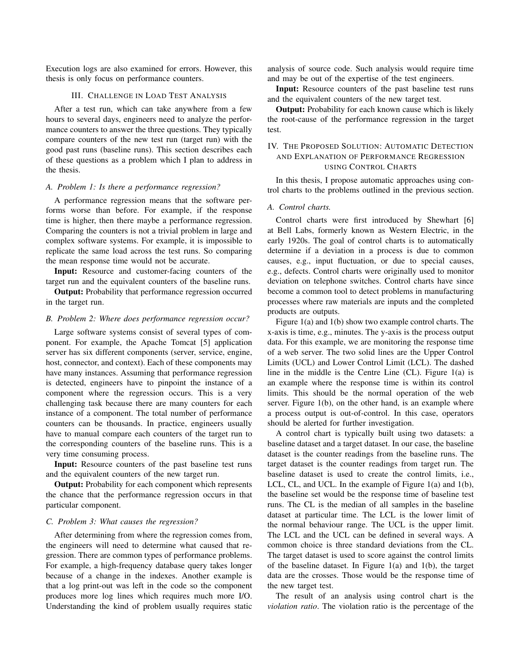Execution logs are also examined for errors. However, this thesis is only focus on performance counters.

#### III. CHALLENGE IN LOAD TEST ANALYSIS

After a test run, which can take anywhere from a few hours to several days, engineers need to analyze the performance counters to answer the three questions. They typically compare counters of the new test run (target run) with the good past runs (baseline runs). This section describes each of these questions as a problem which I plan to address in the thesis.

### *A. Problem 1: Is there a performance regression?*

A performance regression means that the software performs worse than before. For example, if the response time is higher, then there maybe a performance regression. Comparing the counters is not a trivial problem in large and complex software systems. For example, it is impossible to replicate the same load across the test runs. So comparing the mean response time would not be accurate.

Input: Resource and customer-facing counters of the target run and the equivalent counters of the baseline runs.

Output: Probability that performance regression occurred in the target run.

### *B. Problem 2: Where does performance regression occur?*

Large software systems consist of several types of component. For example, the Apache Tomcat [5] application server has six different components (server, service, engine, host, connector, and context). Each of these components may have many instances. Assuming that performance regression is detected, engineers have to pinpoint the instance of a component where the regression occurs. This is a very challenging task because there are many counters for each instance of a component. The total number of performance counters can be thousands. In practice, engineers usually have to manual compare each counters of the target run to the corresponding counters of the baseline runs. This is a very time consuming process.

Input: Resource counters of the past baseline test runs and the equivalent counters of the new target run.

Output: Probability for each component which represents the chance that the performance regression occurs in that particular component.

### *C. Problem 3: What causes the regression?*

After determining from where the regression comes from, the engineers will need to determine what caused that regression. There are common types of performance problems. For example, a high-frequency database query takes longer because of a change in the indexes. Another example is that a log print-out was left in the code so the component produces more log lines which requires much more I/O. Understanding the kind of problem usually requires static analysis of source code. Such analysis would require time and may be out of the expertise of the test engineers.

Input: Resource counters of the past baseline test runs and the equivalent counters of the new target test.

Output: Probability for each known cause which is likely the root-cause of the performance regression in the target test.

# IV. THE PROPOSED SOLUTION: AUTOMATIC DETECTION AND EXPLANATION OF PERFORMANCE REGRESSION USING CONTROL CHARTS

In this thesis, I propose automatic approaches using control charts to the problems outlined in the previous section.

#### *A. Control charts.*

Control charts were first introduced by Shewhart [6] at Bell Labs, formerly known as Western Electric, in the early 1920s. The goal of control charts is to automatically determine if a deviation in a process is due to common causes, e.g., input fluctuation, or due to special causes, e.g., defects. Control charts were originally used to monitor deviation on telephone switches. Control charts have since become a common tool to detect problems in manufacturing processes where raw materials are inputs and the completed products are outputs.

Figure 1(a) and 1(b) show two example control charts. The x-axis is time, e.g., minutes. The y-axis is the process output data. For this example, we are monitoring the response time of a web server. The two solid lines are the Upper Control Limits (UCL) and Lower Control Limit (LCL). The dashed line in the middle is the Centre Line (CL). Figure 1(a) is an example where the response time is within its control limits. This should be the normal operation of the web server. Figure 1(b), on the other hand, is an example where a process output is out-of-control. In this case, operators should be alerted for further investigation.

A control chart is typically built using two datasets: a baseline dataset and a target dataset. In our case, the baseline dataset is the counter readings from the baseline runs. The target dataset is the counter readings from target run. The baseline dataset is used to create the control limits, i.e., LCL, CL, and UCL. In the example of Figure 1(a) and 1(b), the baseline set would be the response time of baseline test runs. The CL is the median of all samples in the baseline dataset at particular time. The LCL is the lower limit of the normal behaviour range. The UCL is the upper limit. The LCL and the UCL can be defined in several ways. A common choice is three standard deviations from the CL. The target dataset is used to score against the control limits of the baseline dataset. In Figure  $1(a)$  and  $1(b)$ , the target data are the crosses. Those would be the response time of the new target test.

The result of an analysis using control chart is the *violation ratio*. The violation ratio is the percentage of the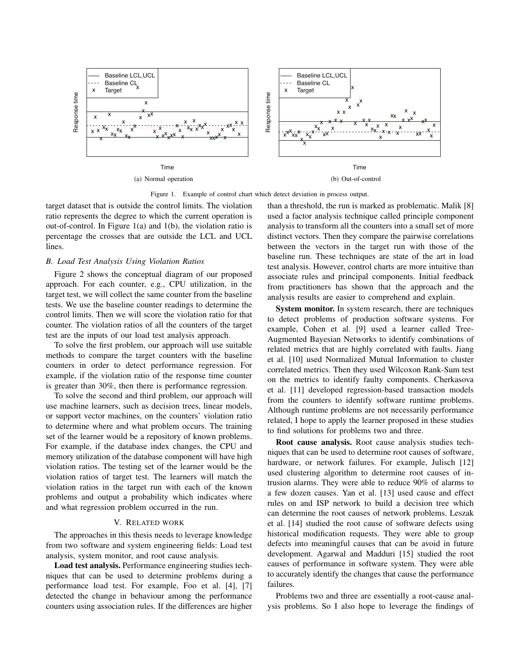

Figure 1. Example of control chart which detect deviation in process output.

target dataset that is outside the control limits. The violation ratio represents the degree to which the current operation is out-of-control. In Figure 1(a) and 1(b), the violation ratio is percentage the crosses that are outside the LCL and UCL lines.

## *B. Load Test Analysis Using Violation Ratios*

Figure 2 shows the conceptual diagram of our proposed approach. For each counter, e.g., CPU utilization, in the target test, we will collect the same counter from the baseline tests. We use the baseline counter readings to determine the control limits. Then we will score the violation ratio for that counter. The violation ratios of all the counters of the target test are the inputs of our load test analysis approach.

To solve the first problem, our approach will use suitable methods to compare the target counters with the baseline counters in order to detect performance regression. For example, if the violation ratio of the response time counter is greater than 30%, then there is performance regression.

To solve the second and third problem, our approach will use machine learners, such as decision trees, linear models, or support vector machines, on the counters' violation ratio to determine where and what problem occurs. The training set of the learner would be a repository of known problems. For example, if the database index changes, the CPU and memory utilization of the database component will have high violation ratios. The testing set of the learner would be the violation ratios of target test. The learners will match the violation ratios in the target run with each of the known problems and output a probability which indicates where and what regression problem occurred in the run.

### V. RELATED WORK

The approaches in this thesis needs to leverage knowledge from two software and system engineering fields: Load test analysis, system monitor, and root cause analysis.

Load test analysis. Performance engineering studies techniques that can be used to determine problems during a performance load test. For example, Foo et al. [4], [7] detected the change in behaviour among the performance counters using association rules. If the differences are higher than a threshold, the run is marked as problematic. Malik [8] used a factor analysis technique called principle component analysis to transform all the counters into a small set of more distinct vectors. Then they compare the pairwise correlations between the vectors in the target run with those of the baseline run. These techniques are state of the art in load test analysis. However, control charts are more intuitive than associate rules and principal components. Initial feedback from practitioners has shown that the approach and the analysis results are easier to comprehend and explain.

System monitor. In system research, there are techniques to detect problems of production software systems. For example, Cohen et al. [9] used a learner called Tree-Augmented Bayesian Networks to identify combinations of related metrics that are highly correlated with faults. Jiang et al. [10] used Normalized Mutual Information to cluster correlated metrics. Then they used Wilcoxon Rank-Sum test on the metrics to identify faulty components. Cherkasova et al. [11] developed regression-based transaction models from the counters to identify software runtime problems. Although runtime problems are not necessarily performance related, I hope to apply the learner proposed in these studies to find solutions for problems two and three.

Root cause analysis. Root cause analysis studies techniques that can be used to determine root causes of software, hardware, or network failures. For example, Julisch [12] used clustering algorithm to determine root causes of intrusion alarms. They were able to reduce 90% of alarms to a few dozen causes. Yan et al. [13] used cause and effect rules on and ISP network to build a decision tree which can determine the root causes of network problems. Leszak et al. [14] studied the root cause of software defects using historical modification requests. They were able to group defects into meaningful causes that can be avoid in future development. Agarwal and Madduri [15] studied the root causes of performance in software system. They were able to accurately identify the changes that cause the performance failures.

Problems two and three are essentially a root-cause analysis problems. So I also hope to leverage the findings of